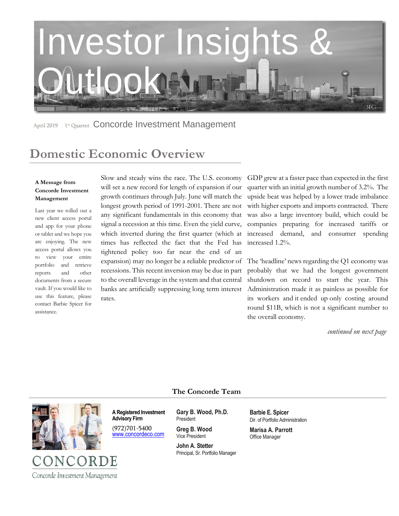

April 2019 1<sup>st</sup> Quarter Concorde Investment Management

# **Domestic Economic Overview**

#### **A Message from Concorde Investment Management**

Last year we rolled out a new client access portal and app for your phone or tablet and we hope you are enjoying. The new access portal allows you to view your entire portfolio and retrieve reports and other documents from a secure vault. If you would like to use this feature, please contact Barbie Spicer for assistance.

Slow and steady wins the race. The U.S. economy will set a new record for length of expansion if our growth continues through July. June will match the longest growth period of 1991-2001. There are not any significant fundamentals in this economy that signal a recession at this time. Even the yield curve, which inverted during the first quarter (which at times has reflected the fact that the Fed has tightened policy too far near the end of an expansion) may no longer be a reliable predictor of recessions. This recent inversion may be due in part to the overall leverage in the system and that central banks are artificially suppressing long term interest rates.

GDP grew at a faster pace than expected in the first quarter with an initial growth number of 3.2%. The upside beat was helped by a lower trade imbalance with higher exports and imports contracted. There was also a large inventory build, which could be companies preparing for increased tariffs or increased demand, and consumer spending increased 1.2%.

The 'headline' news regarding the Q1 economy was probably that we had the longest government shutdown on record to start the year. This Administration made it as painless as possible for its workers and it ended up only costing around round \$11B, which is not a significant number to the overall economy.

*continued on next page* 

### **The Concorde Team**



**A Registered Investment Advisory Firm** 

(972)701-5400 [www.concordeco.com](http://www.concordeco.com/) **Gary B. Wood, Ph.D.** President

**Greg B. Wood** Vice President

**John A. Stetter**  Principal, Sr. Portfolio Manager **Barbie E. Spicer**  Dir. of Portfolio Administration

**Marisa A. Parrott** Office Manager

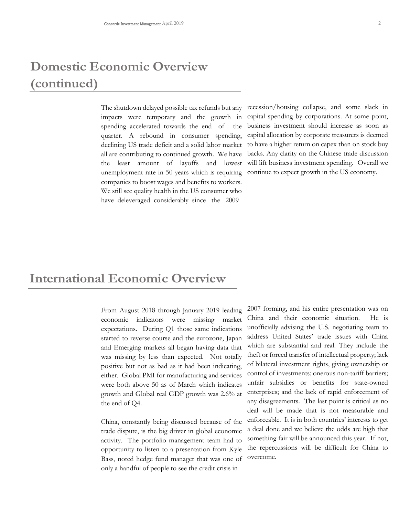# **Domestic Economic Overview (continued)**

The shutdown delayed possible tax refunds but any impacts were temporary and the growth in spending accelerated towards the end of the quarter. A rebound in consumer spending, declining US trade deficit and a solid labor market all are contributing to continued growth. We have the least amount of layoffs and lowest unemployment rate in 50 years which is requiring companies to boost wages and benefits to workers. We still see quality health in the US consumer who have deleveraged considerably since the 2009

recession/housing collapse, and some slack in capital spending by corporations. At some point, business investment should increase as soon as capital allocation by corporate treasurers is deemed to have a higher return on capex than on stock buy backs. Any clarity on the Chinese trade discussion will lift business investment spending. Overall we continue to expect growth in the US economy.

### **International Economic Overview**

From August 2018 through January 2019 leading economic indicators were missing market expectations. During Q1 those same indications started to reverse course and the eurozone, Japan and Emerging markets all began having data that was missing by less than expected. Not totally positive but not as bad as it had been indicating, either. Global PMI for manufacturing and services were both above 50 as of March which indicates growth and Global real GDP growth was 2.6% at the end of Q4.

China, constantly being discussed because of the trade dispute, is the big driver in global economic activity. The portfolio management team had to opportunity to listen to a presentation from Kyle Bass, noted hedge fund manager that was one of only a handful of people to see the credit crisis in

2007 forming, and his entire presentation was on China and their economic situation. He is unofficially advising the U.S. negotiating team to address United States' trade issues with China which are substantial and real. They include the theft or forced transfer of intellectual property; lack of bilateral investment rights, giving ownership or control of investments; onerous non-tariff barriers; unfair subsidies or benefits for state-owned enterprises; and the lack of rapid enforcement of any disagreements. The last point is critical as no deal will be made that is not measurable and enforceable. It is in both countries' interests to get a deal done and we believe the odds are high that something fair will be announced this year. If not, the repercussions will be difficult for China to overcome.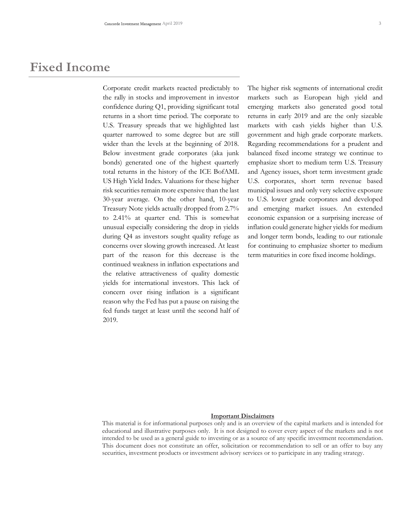### **Fixed Income**

Corporate credit markets reacted predictably to the rally in stocks and improvement in investor confidence during Q1, providing significant total returns in a short time period. The corporate to U.S. Treasury spreads that we highlighted last quarter narrowed to some degree but are still wider than the levels at the beginning of 2018. Below investment grade corporates (aka junk bonds) generated one of the highest quarterly total returns in the history of the ICE BofAML US High Yield Index. Valuations for these higher risk securities remain more expensive than the last 30-year average. On the other hand, 10-year Treasury Note yields actually dropped from 2.7% to 2.41% at quarter end. This is somewhat unusual especially considering the drop in yields during Q4 as investors sought quality refuge as concerns over slowing growth increased. At least part of the reason for this decrease is the continued weakness in inflation expectations and the relative attractiveness of quality domestic yields for international investors. This lack of concern over rising inflation is a significant reason why the Fed has put a pause on raising the fed funds target at least until the second half of 2019.

The higher risk segments of international credit markets such as European high yield and emerging markets also generated good total returns in early 2019 and are the only sizeable markets with cash yields higher than U.S. government and high grade corporate markets. Regarding recommendations for a prudent and balanced fixed income strategy we continue to emphasize short to medium term U.S. Treasury and Agency issues, short term investment grade U.S. corporates, short term revenue based municipal issues and only very selective exposure to U.S. lower grade corporates and developed and emerging market issues. An extended economic expansion or a surprising increase of inflation could generate higher yields for medium and longer term bonds, leading to our rationale for continuing to emphasize shorter to medium term maturities in core fixed income holdings.

#### **Important Disclaimers**

This material is for informational purposes only and is an overview of the capital markets and is intended for educational and illustrative purposes only. It is not designed to cover every aspect of the markets and is not intended to be used as a general guide to investing or as a source of any specific investment recommendation. This document does not constitute an offer, solicitation or recommendation to sell or an offer to buy any securities, investment products or investment advisory services or to participate in any trading strategy.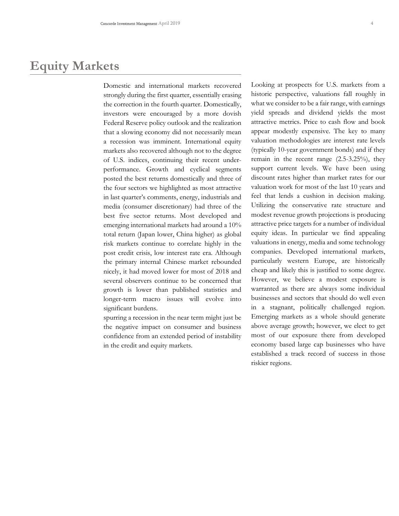# **Equity Markets**

Domestic and international markets recovered strongly during the first quarter, essentially erasing the correction in the fourth quarter. Domestically, investors were encouraged by a more dovish Federal Reserve policy outlook and the realization that a slowing economy did not necessarily mean a recession was imminent. International equity markets also recovered although not to the degree of U.S. indices, continuing their recent underperformance. Growth and cyclical segments posted the best returns domestically and three of the four sectors we highlighted as most attractive in last quarter's comments, energy, industrials and media (consumer discretionary) had three of the best five sector returns. Most developed and emerging international markets had around a 10% total return (Japan lower, China higher) as global risk markets continue to correlate highly in the post credit crisis, low interest rate era. Although the primary internal Chinese market rebounded nicely, it had moved lower for most of 2018 and several observers continue to be concerned that growth is lower than published statistics and longer-term macro issues will evolve into significant burdens.

spurring a recession in the near term might just be the negative impact on consumer and business confidence from an extended period of instability in the credit and equity markets.

Looking at prospects for U.S. markets from a historic perspective, valuations fall roughly in what we consider to be a fair range, with earnings yield spreads and dividend yields the most attractive metrics. Price to cash flow and book appear modestly expensive. The key to many valuation methodologies are interest rate levels (typically 10-year government bonds) and if they remain in the recent range (2.5-3.25%), they support current levels. We have been using discount rates higher than market rates for our valuation work for most of the last 10 years and feel that lends a cushion in decision making. Utilizing the conservative rate structure and modest revenue growth projections is producing attractive price targets for a number of individual equity ideas. In particular we find appealing valuations in energy, media and some technology companies. Developed international markets, particularly western Europe, are historically cheap and likely this is justified to some degree. However, we believe a modest exposure is warranted as there are always some individual businesses and sectors that should do well even in a stagnant, politically challenged region. Emerging markets as a whole should generate above average growth; however, we elect to get most of our exposure there from developed economy based large cap businesses who have established a track record of success in those riskier regions.